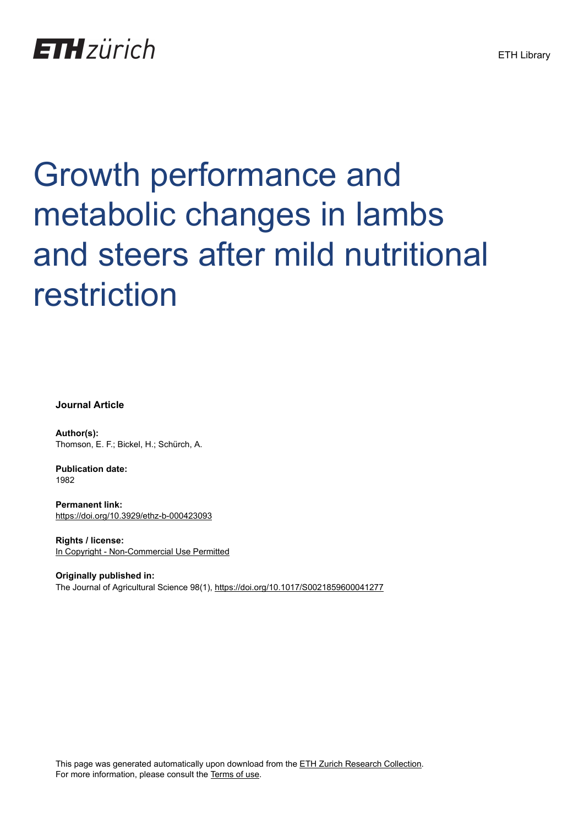## **ETH**zürich

# Growth performance and metabolic changes in lambs and steers after mild nutritional restriction

**Journal Article**

**Author(s):** Thomson, E. F.; Bickel, H.; Schürch, A.

**Publication date:** 1982

**Permanent link:** <https://doi.org/10.3929/ethz-b-000423093>

**Rights / license:** [In Copyright - Non-Commercial Use Permitted](http://rightsstatements.org/page/InC-NC/1.0/)

**Originally published in:** The Journal of Agricultural Science 98(1),<https://doi.org/10.1017/S0021859600041277>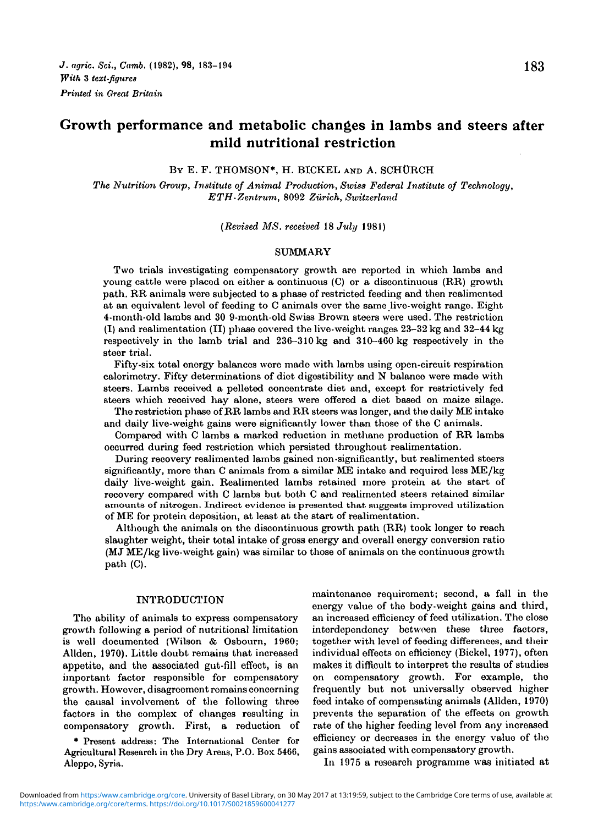### Growth performance and metabolic changes in lambs and steers after mild nutritional restriction

BY E. F. THOMSON\*, H. BICKEL AND A. SCHÜRCH

*The Nutrition Group, Institute of Animal Production, Swiss Federal Institute of Technology, ETH-Zentrum,* 8092 *Zurich, Switzerland*

*{Revised MS. received* 18 *July* 1981)

#### **SUMMARY**

Two trials investigating compensatory growth are reported in which lambs and young cattle were placed on either a continuous (C) or a discontinuous (RR) growth path. RR animals were subjected to a phase of restricted feeding and then realimented at an equivalent level of feeding to C animals over the same live-weight range. Eight 4-month-old lambs and 30 9-month-old Swiss Brown steers were used. The restriction (I) and realimentation (II) phase covered the live-weight ranges 23-32 kg and 32-44 kg respectively in tho lamb trial and 236-310 kg and 310-460 kg respectively in the steer trial.

Fifty-six total energy balances were made with lambs using open-circuit respiration calorimetry. Fifty determinations of diet digestibility and N balance were made with steers. Lambs received a pelleted concentrate diet and, except for restrictively fed steers which received hay alone, steers were offered a diet based on maize silage.

The restriction phase of RR lambs and RR steers was longer, and the daily ME intake and daily live-weight gains were significantly lower than those of the C animals.

Compared with C lambs a marked reduction in methane production of RR lambs occurred during feed restriction which persisted throughout realimentation.

During recovery realimented lambs gained non-significantly, but realimented steers significantly, more than C animals from a similar ME intake and required less ME/kg daily live-weight gain. Realimented lambs retained more protein at the start of recovery compared with C lambs but both C and realimented steers retained similar amounts of nitrogen. Indirect evidence is presented that suggests improved utilization of ME for protein deposition, at least at the start of realimentation.

Although the animals on the discontinuous growth path (RR) took longer to reach slaughter weight, their total intake of gross energy and overall energy conversion ratio (MJ ME/kg live-weight gain) was similar to those of animals on the continuous growth path (C).

growth following a period of nutritional limitation interdependency between these three factors, is well documented (Wilson & Osbourn, 1960; together with level of feeding differences, and their<br>Allden, 1970). Little doubt remains that increased individual effects on efficiency (Bickel, 1977), often Allden, 1970). Little doubt remains that increased appetite, and the associated gut-fill effect, is an makes it difficult to interpret the results of studies important factor responsible for compensatory on compensatory growth. For example, the growth. However, disagreement remains concerning frequently but not universally observed higher the causal involvement of the following three feed intake of compensating animals (Allden, 1970) factors in the complex of changes resulting in prevents the separation of the effects on growth

Agricultural Research in the Dry Areas, P.O. Box 5466, Aleppo, Syria. In 1975 a research programme was initiated at

INTRODUCTION maintenance requirement; second, a fall in the energy value of the body-weight gains and third, The ability of animals to express compensatory an increased efficiency of feed utilization. The close compensatory growth. First, a reduction of rate of the higher feeding level from any increased » Present address: The International Center for efficiency or decreases in the energy value of the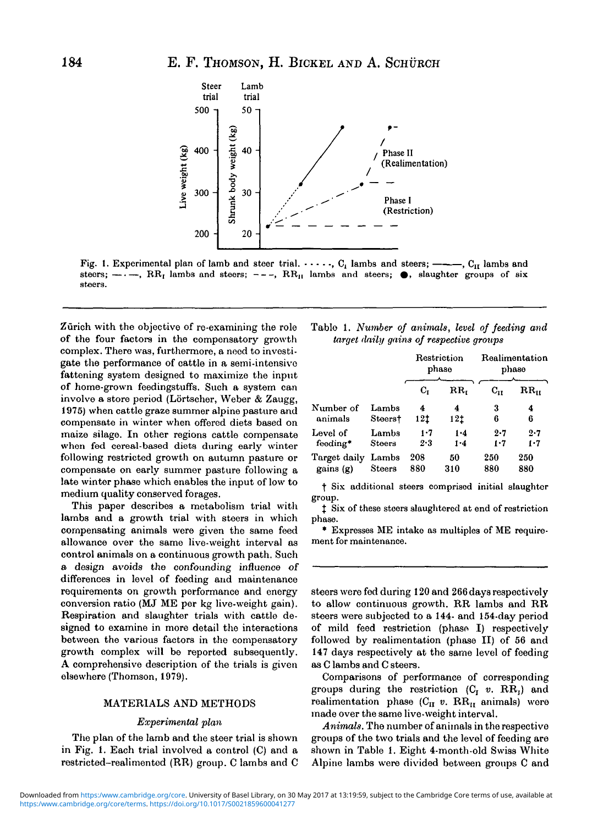

Fig. 1. Experimental plan of lamb and steer trial.  $\cdots$ , C<sub>i</sub> lambs and steers;  $\cdots$ , C<sub>II</sub> lambs and steers;  $-\cdots$ , RR<sub>I</sub> lambs and steers; ---, RR<sub>II</sub> lambs and steers;  $\bullet$ , slaughter groups of six steers.

Zürich with the objective of re-examining the role of the four factors in the compensatory growth complex. There was, furthermore, a need to investigate the performance of cattle in a semi-intensive fattening system designed to maximize the input of home-grown feedingstuffs. Such a system can involve a store period (Lörtscher, Weber & Zaugg, 1975) when cattle graze summer alpine pasture and compensate in winter when offered diets based on maize silage. In other regions cattle compensate when fed cereal-based diets during early winter following restricted growth on autumn pasture or compensate on early summer pasture following a late winter phase which enables the input of low to medium quality conserved forages.

This paper describes a metabolism trial with lambs and a growth trial with steers in which compensating animals were given the same feed allowance over the same live-weight interval as control animals on a continuous growth path. Such a design avoids the confounding influence of differences in level of feeding and maintenance requirements on growth performance and energy conversion ratio (MJ ME per kg live-weight gain). Respiration and slaughter trials with cattle designed to examine in more detail the interactions between the various factors in the compensatory growth complex will be reported subsequently. A comprehensive description of the trials is given elsewhere (Thomson, 1979).

#### MATERIALS AND METHODS

#### *Experimental plan*

The plan of the lamb and the steer trial is shown in Fig. 1. Each trial involved a control (C) and a restricted-realimented (RR) group. C lambs and C

|  |  | Table 1. Number of animals, level of feeding and |  |  |
|--|--|--------------------------------------------------|--|--|
|  |  | target daily gains of respective groups          |  |  |

|              |         | Restriction<br>phase |         | Realimentation<br>phase |               |  |
|--------------|---------|----------------------|---------|-------------------------|---------------|--|
|              |         | $C_{\rm L}$          | RR.     | $C_{11}$                | $\rm RR_{II}$ |  |
| Number of    | Lambs   | 4                    | 4       | 3                       | 4             |  |
| animals      | Steers† | 12t                  | 12†     | 6                       | 6             |  |
| Level of     | Lambs   | 1.7                  | $1 - 4$ | 2.7                     | 2.7           |  |
| feeding*     | Steers  | 2·3                  | $1 - 4$ | 1.7                     | 1.7           |  |
| Target daily | Lambs   | 208                  | 50      | 250                     | 250           |  |
| gains (g)    | Steers  | 880                  | 310     | 880                     | 880           |  |

*\* Six additional steers comprised initial slaughter group.

<sup> $\dagger$ </sup> Six of these steers slaughtered at end of restriction phase.

\* Expresses ME intake as multiples of ME requirement for maintenance.

steers were fed during 120 and 266 days respectively to allow continuous growth. RR lambs and RR steers were subjected to a 144- and 154-day period of mild feed restriction (phase I) respectively followed by realimentation (phase II) of 56 and 147 days respectively at the same level of feeding as C lambs and C steers.

Comparisons of performance of corresponding groups during the restriction (C, *v.* RR,) and realimentation phase  $(C_{II} v. RR_{II}$  animals) were made over the same live-weight interval.

*Animals.* The number of animals in the respective groups of the two trials and the level of feeding are shown in Table 1. Eight 4-month-old Swiss White Alpine lambs were divided between groups C and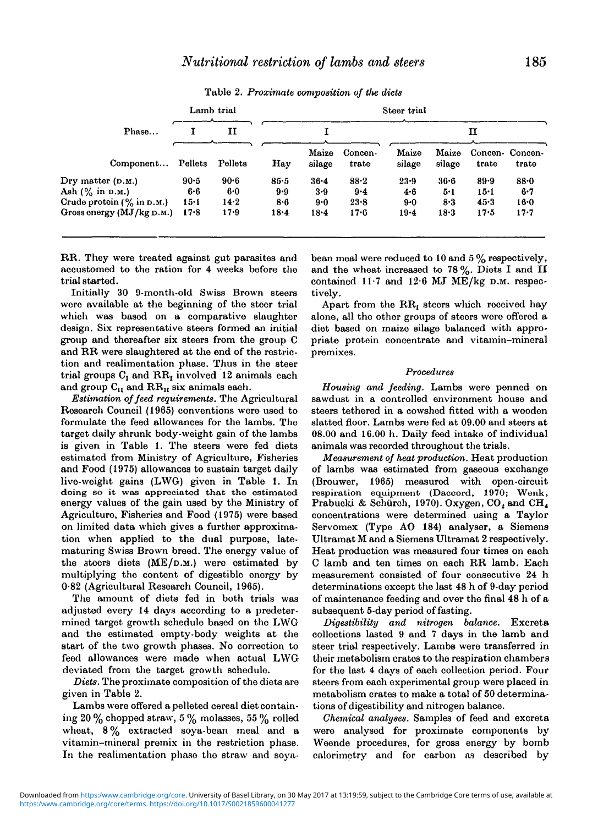|                                          | Lamb trial |          |         | Steer trial     |                  |                 |                 |                         |          |
|------------------------------------------|------------|----------|---------|-----------------|------------------|-----------------|-----------------|-------------------------|----------|
| Phase                                    |            | н        |         |                 |                  |                 |                 | п                       |          |
| Component                                | Pellets    | Pellets  | Hay     | Maize<br>silage | Concen-<br>trate | Maize<br>silage | Maize<br>silage | Concen-Concen-<br>trate | trate    |
| Dry matter (D.M.)                        | 90.5       | $90 - 6$ | 85.5    | $36 - 4$        | 88.2             | 23.9            | 36.6            | $89 - 9$                | 88.0     |
| Ash (% in p.m.)                          | $6 - 6$    | $6 - 0$  | 9.9     | $3-9$           | $9 - 4$          | 4.6             | 5.1             | $15 - 1$                | $6-7$    |
| Crude protein $(\frac{9}{6}$ in $p.M.$ ) | 15.1       | 14.2     | $8 - 6$ | 9.0             | 23.8             | $9 - 0$         | 8.3             | 45.3                    | 16.0     |
| Gross energy (MJ/kg D.M.)                | $17 - 8$   | $17 - 9$ | 18.4    | 18.4            | $17 - 6$         | $19 - 4$        | 18.3            | 17.5                    | $17 - 7$ |

Table 2. *Proximate composition of tlie diets*

RR. They were treated against gut parasites and accustomed to the ration for 4 weeks before the trial started.

Initially 30 9-month-old Swiss Brown steers were available at the beginning of the steer trial which was based on a comparative slaughter design. Six representative steers formed an initial group and thereafter six steers from the group C and RR were slaughtered at the end of the restriction and realimentation phase. Thus in the steer trial groups  $C_i$  and  $RR_i$  involved 12 animals each and group  $C_{II}$  and  $RR_{II}$  six animals each.

*Estimation of feed requirements.* The Agricultural Research Council (1965) conventions were used to formulate the feed allowances for the lambs. The target daily shrunk body-weight gain of the lambs is given in Table 1. The steers were fed diets estimated from Ministry of Agriculture, Fisheries and Food (1975) allowances to sustain target daily live-weight gains (LWG) given in Table 1. In doing so it was appreciated that the estimated energy values of the gain used by the Ministry of Agriculture, Fisheries and Food (1975) were based on limited data which gives a further approximation when applied to the dual purpose, latematuring Swiss Brown breed. The energy value of the steers diets  $(ME/D.M.)$  were estimated by multiplying the content of digestible energy by 0-82 (Agricultural Research Council, 1965).

The amount of diets fed in both trials was adjusted every 14 days according to a predetermined target growth schedule based on the LWG and the estimated empty-body weights at the start of the two growth phases. No correction to feed allowances were made when actual LWG deviated from the target growth schedule.

*Diets.* The proximate composition of the diets are given in Table 2.

Lambs were offered a pelleted cereal diet containing 20  $\%$  chopped straw, 5  $\%$  molasses, 55  $\%$  rolled wheat,  $8\%$  extracted soya-bean meal and a vitamin-mineral premix in the restriction phase. In the realimentation phase tho straw and soyabean meal were reduced to 10 and 5 % respectively, and the wheat increased to 78%. Diets I and II contained 11-7 and 12-6 MJ ME/kg D.M. respectively.

Apart from the  $RR_i$  steers which received hay alone, all the other groups of steers were offered a diet based on maize silage balanced with appropriate protein concentrate and vitamin-mineral premixes.

#### *Procedures*

*Housing and feeding.* Lambs were penned on sawdust in a controlled environment house and steers tethered in a cowshed fitted with a wooden slatted floor. Lambs were fed at 09.00 and steers at 08.00 and 16.00 h. Daily feed intake of individual animals was recorded throughout the trials.

*Measurement of heat production.* Heat production of lambs was estimated from gaseoua exchange (Brouwer, 1965) measured with open-circuit respiration equipment (Daccord, 1970; Wenk, Prabucki & Schürch, 1970). Oxygen,  $CO<sub>2</sub>$  and  $CH<sub>4</sub>$ concentrations were determined using a Taylor Servomex (Type AO 184) analyser, a Siemens Ultramat M and a Siemens Ultramat 2 respectively. Heat production was measured four times on each C lamb and ten times on each RR lamb. Each measurement consisted of four consecutive 24 h determinations except the last 48 h of 9-day period of maintenance feeding and over the final 48 h of a subsequent 5-day period of fasting.

*Digestibility and nitrogen balance.* Excreta collections lasted 9 and 7 days in the Iamb and steer trial respectively. Lambs were transferred in their metabolism crates to the respiration chambers for the last 4 days of each collection period. Four steers from each experimental group were placed in metabolism crates to make a total of 50 determinations of digestibility and nitrogen balance.

*Chemical analyses.* Samples of feed and excreta were analysed for proximate components by Weende procedures, for gross energy by bomb calorimetry and for carbon as described by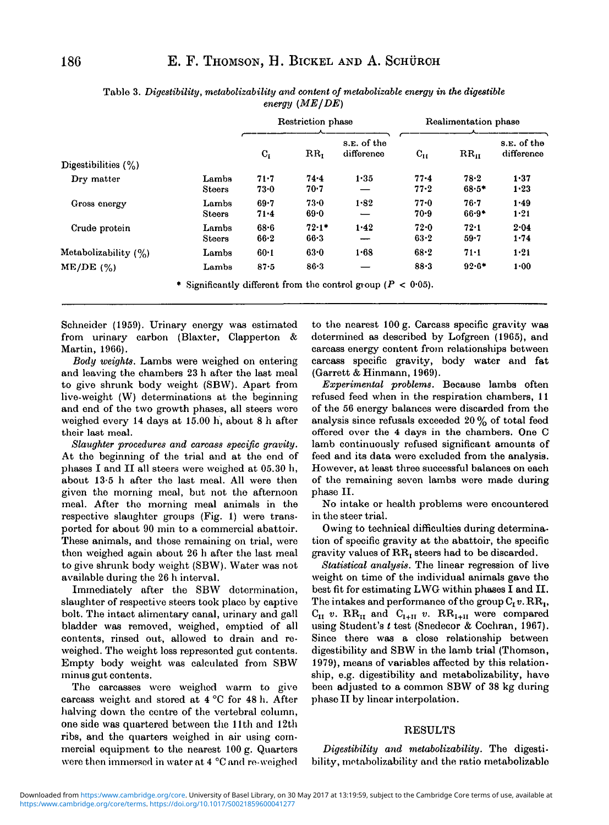|                         |                        |                      | Restriction phase |                           | Realimentation phase |                     |                           |  |
|-------------------------|------------------------|----------------------|-------------------|---------------------------|----------------------|---------------------|---------------------------|--|
| Digestibilities $(\% )$ |                        | $C_{I}$              | RR,               | S.E. of the<br>difference | $C_{II}$             | $RR_{II}$           | S.E. of the<br>difference |  |
| Dry matter              | Lambs<br><b>Steers</b> | 71.7<br>73.0         | 74.4<br>70.7      | 1.35                      | $77 - 4$<br>$77 - 2$ | $78 - 2$<br>$68.5*$ | 1.37<br>1.23              |  |
| Gross energy            | Lambs<br><b>Steers</b> | $69 - 7$<br>71.4     | $73 - 0$<br>69.0  | 1.82                      | 77.0<br>70.9         | $76 - 7$<br>$66.9*$ | 1.49<br>$1 - 21$          |  |
| Crude protein           | Lambs<br><b>Steers</b> | $68 - 6$<br>$66 - 2$ | $72.1*$<br>$66-3$ | 1.42                      | $72 - 0$<br>63.2     | $72 - 1$<br>59.7    | 2.04<br>1.74              |  |
| Metabolizability $(%)$  | Lambs                  | 60·1                 | $63 - 0$          | 1.68                      | 68.2                 | $71 - 1$            | 1.21                      |  |
| ME/DE(%)                | Lambs                  | 87.5                 | 86.3              |                           | 88.3                 | $92.6*$             | 1.00                      |  |

Table 3. *Digestibility, metabolizability and content of metabolizable energy in the digestible energy (ME/DE)*

Schneider (1959). Urinary energy was estimated from urinary carbon (Blaxter, Clapperton & Martin, 1966).

*Body weights.* Lambs were weighed on entering and leaving the chambers 23 h after the last meal to give shrunk body weight (SBW). Apart from live-weight (W) determinations at the beginning and end of the two growth phases, all steers wore weighed every 14 days at 15.00 h, about 8 h after their last meal.

*Slaughter procedures and carcass specific gravity.* At the beginning of the trial and at the end of phases I and II all steers were weighed at 05.30 h, about 13-5 h after the last meal. All were then given the morning meal, but not the afternoon meal. After the morning meal animals in the respective slaughter groups (Fig. 1) were transported for about 90 min to a commercial abattoir. These animals, and those remaining on trial, were thon weighed again about 26 h after the last meal to give shrunk body weight (SBW). Water was not available during the 26 h interval.

Immediately after the SBW determination, slaughter of respective steers took place by captive bolt. The intact alimentary canal, urinary and gall bladder was removed, weighed, emptied of all contents, rinsed out, allowed to drain and reweighed. The weight loss represented gut contents. Empty body weight was calculated from SBW minus gut contents.

The carcasses were weighed warm to give carcass weight and stored at 4 °C for 48 h. After halving down the centre of the vertebral column, one side was quartered between the 11th and 12th ribs, and the quarters weighed in air using commercial equipment to the nearest 100 g. Quarters were then immersed in water at 4 °C and re-weighed

to the nearest 100 g. Carcass specific gravity was determined as described by Lofgreen (1965), and carcass energy content from relationships between carcass specific gravity, body water and fat (Garrett & Hinmann, 1969).

*Experimental problems.* Because lambs often refused feed when in the respiration chambers, 11 of the 56 energy balances were discarded from the analysis since refusals exceeded 20 % of total feed offered over the 4 days in the chambers. One C lamb continuously refused significant amounts of feed and its data were excluded from the analysis. However, at least three successful balances on each of the remaining seven lambs were made during phase II.

No intake or health problems were encountered in the steer trial.

Owing to technical difficulties during determination of specific gravity at the abattoir, the specific gravity values of RR, steers had to be discarded.

*Statistical analysis.* The linear regression of live weight on time of the individual animals gave the best fit for estimating LWG- within phases I and II. The intakes and performance of the group  $C_t v$ .  $\mathbb{R} \mathbb{R}$ ,  $C_{II}$  v.  $RR_{II}$  and  $C_{I+II}$  v.  $RR_{I+II}$  were compared using Student's *t* test (Snedecor & Cochran, 1967). Since there was a close relationship between digestibility and SBW in the lamb trial (Thomson, 1979), means of variables affected by this relationship, e.g. digestibility and metabolizability, have been adjusted to a common SBW of 38 kg during phaso II by linear interpolation.

#### RESULTS

*Digestibility and metabolizability.* The digestibility, metabolizability and the ratio metabolizable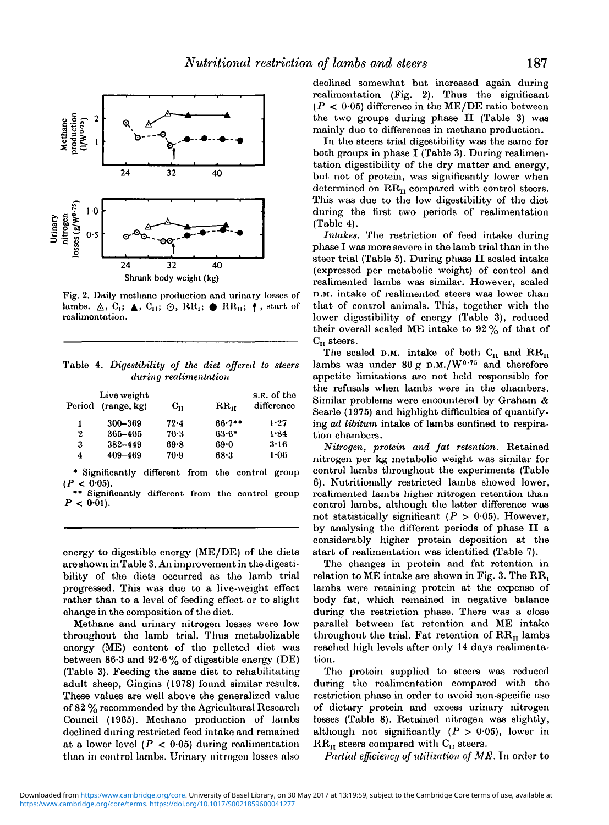

Fig. 2. Daily methane production and urinary losses of lambs.  $\Delta$ , C<sub>i</sub>;  $\Delta$ , C<sub>ii</sub>;  $\odot$ , RR<sub>i</sub>;  $\odot$  RR<sub>ii</sub>;  $\uparrow$ , start of realimentation.

|  | Table 4. Digestibility of the diet offered to steers |  |  |  |
|--|------------------------------------------------------|--|--|--|
|  | during realimentation                                |  |  |  |

|   | Live weight<br>Period (range, kg) | $C_{11}$ | $RR_{\text{tr}}$ | s.e. of the<br>difference |
|---|-----------------------------------|----------|------------------|---------------------------|
| 1 | 300-369                           | $72 - 4$ | $66.7**$         | 1.27                      |
| 2 | 365-405                           | 70-3     | $63 - 6*$        | 1.84                      |
| 3 | 382-449                           | 69.8     | 69.0             | 3.16                      |
| 4 | 409-469                           | $70-9$   | 68.3             | 1.06                      |

\* Significantly different from the control group  $(P < 0.05)$ .

\*\* Significantly different from the control group  $P < 0.01$ ).

energy to digestible energy (ME/DE) of the diets are shown in Table 3. An improvement in the digestibility of the diets occurred as the lamb trial progressed. This was due to a live-weight effect rather than to a level of feeding effect or to slight change in the composition of the diet.

Methane and urinary nitrogen losses were low throughout the lamb trial. Thus metabolizable energy (ME) content of the pelleted diet was between 86.3 and 92.6  $\%$  of digestible energy (DE) (Table 3). Feeding the same diet to rehabilitating adult sheep, Gingins (1978) found similar results. These values are well above the generalized value of 82 % recommended by the Agricultural Research Council (1965). Methane production of lambs declined during restricted feed intake and remained at a lower level  $(P < 0.05)$  during realimentation than in control lambs. Urinary nitrogen losses nlso

declined somewhat but increased again during realimentation (Fig. 2). Thus the significant  $(P < 0.05)$  difference in the ME/DE ratio between the two groups during phase II (Table 3) was mainly due to differences in methane production.

In the steers trial digestibility was the same for both groups in phase I (Table 3). During realimentation digestibility of the dry matter and energy, but not of protein, was significantly lower when determined on  $\text{RR}_{\text{U}}$  compared with control steers. This was due to the low digestibility of the diet during the first two periods of realimentation (Table 4).

*Intakes.* The restriction of feed intake during phase I was more severe in the lamb trial than in the steer trial (Table 5). During phase II scaled intake (expressed per metabolic weight) of control and realimented lambs was similar. However, scaled D.M. intake of realimented steers was lower than that of control animals. This, together with the lower digestibility of energy (Table 3), reduced their overall scaled ME intake to  $92\%$  of that of  $C_{II}$  steers.

The scaled D.M. intake of both  $C_{II}$  and  $RR_{II}$ lambs was under  $80 g D.M./W^{0.75}$  and therefore appetite limitations are not held responsible for the refusals when lambs were in the chambers. Similar problems were encountered by Graham & Searle (1975) and highlight difficulties of quantifying *ad libitum* intake of lambs confined to respiration chambers.

*Nitrogen, protein and fat retention.* Retained nitrogen per kg metabolic weight was similar for control lambs throughout the experiments (Table 6). Nutritionally restricted lambs showed lower, realimented lambs higher nitrogen retention than control lambs, although the latter difference was not statistically significant ( $P > 0.05$ ). However, by analysing the different periods of phase II a considerably higher protein deposition at the start of realimentation was identified (Table 7).

The changes in protein and fat retention in relation to ME intake are shown in Fig. 3. The  $RR_1$ lambs were retaining protein at the expense of body fat, which remained in negative balance during the restriction phase. There was a close parallel between fat retention and ME intake throughout the trial. Fat retention of  $\text{RR}_{\text{II}}$  lambs reached high levels after only 14 days realimentation.

The protein supplied to steers was reduced during the realimentation compared with the restriction phase in order to avoid non-specific use of dietary protein and excess urinary nitrogen losses (Table 8). Retained nitrogen was slightly, although not significantly  $(P > 0.05)$ , lower in  $RR_{II}$  steers compared with  $C_{II}$  steers.

*Partial efficiency of utilization of ME.* Tn order to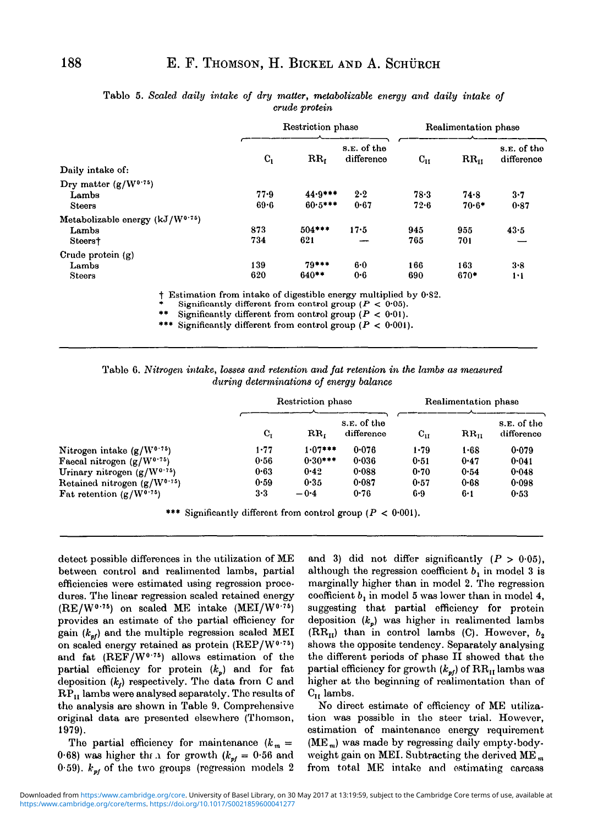|                                      |                | Restriction phase |                           | Realimentation phase |           |                           |
|--------------------------------------|----------------|-------------------|---------------------------|----------------------|-----------|---------------------------|
| Daily intake of:                     | $\mathbf{C}_1$ | $_{\rm RR}$       | S.E. of the<br>difference | $C_{II}$             | $RR_{II}$ | s.E. of the<br>difference |
| Dry matter $(g/W^{0.75})$            |                |                   |                           |                      |           |                           |
| Lambs                                | 77.9           | $44.9***$         | 2.2                       | 78.3                 | 74.8      | 3.7                       |
| <b>Steers</b>                        | 69.6           | $60.5***$         | 0.67                      | $72 - 6$             | $70.6*$   | 0.87                      |
| Metabolizable energy $(kJ/W^{0.75})$ |                |                   |                           |                      |           |                           |
| Lambs                                | 873            | $504***$          | 17.5                      | 945                  | 955       | 43.5                      |
| Steers†                              | 734            | 621               |                           | 765                  | 701       |                           |
| Crude protein $(g)$                  |                |                   |                           |                      |           |                           |
| Lambs                                | 139            | $79***$           | 6.0                       | 166                  | 163       | $3 - 8$                   |
| <b>Steers</b>                        | 620            | $640**$           | 0.6                       | 690                  | $670*$    | $1 \cdot 1$               |
| .                                    |                | .                 |                           |                      |           |                           |

#### Table 5. *Scaled daily intake of dry matter, metabolizable energy and daily intake of crude protein*

t Estimation from intake of digestible energy multiplied by 0"S2.

\* Significantly different from control group *{P <* 0-05).

\*\* Significantly different from control group  $(P < 0.01)$ .<br>\*\*\* Significantly different from control group  $(P < 0.001)$ 

Significantly different from control group  $(P < 0.001)$ .

Table C. *Nitrogen intake, losses and retention and fat retention in the lambs as measured during determinations of energy balance*

|                                  |             | Restriction phase | Realimentation phase      |          |               |                           |
|----------------------------------|-------------|-------------------|---------------------------|----------|---------------|---------------------------|
|                                  | $C_{\rm r}$ | $\rm RR_r$        | S.E. of the<br>difference | $C_{II}$ | $\rm RR_{II}$ | S.E. of the<br>difference |
| Nitrogen intake $(g/W^{0.75})$   | $1 - 77$    | $1.07***$         | 0.076                     | 1.79     | 1.68          | 0.079                     |
| Faecal nitrogen $(g/W^{0.75})$   | 0.56        | $0.30***$         | 0.036                     | 0.51     | 0.47          | 0.041                     |
| Urinary nitrogen $(g/W^{0.75})$  | 0.63        | 0.42              | 0.088                     | 0.70     | 0.54          | 0.048                     |
| Retained nitrogen $(g/W^{0.75})$ | 0.59        | 0.35              | 0.087                     | 0.57     | $0 - 68$      | 0.098                     |
| Fat retention $(g/W^{0.75})$     | 3.3         | $-0.4$            | 0.76                      | 6.9      | $6 - 1$       | 0.53                      |

\*\*\* Significantly different from control group ( $P < 0.001$ ).

detect possible differences in the utilization of ME between control and realimented lambs, partial efficiencies were estimated using regression procedures. The linear regression scaled retained energy  $(RE/W^{\mathfrak{g}\text{-}75})$  on scaled ME intake  $(MEI/W^{\mathfrak{g}\text{-}75})$ provides an estimate of the partial efficiency for gain  $(k_{\text{pf}})$  and the multiple regression scaled MEI on scaled energy retained as protein  $(REF/W^{0.75})$ and fat  $(\text{REF}/W^{0.75})$  allows estimation of the partial efficiency for protein  $(k_p)$  and for fat deposition *(k{)* respectively. The data from C and  $RP<sub>H</sub>$  lambs were analysed separately. The results of the analysis are shown in Table 9. Comprehensive original data are presented elsewhere (Thomson, 1979).

The partial efficiency for maintenance  $(k_m =$ 0.68) was higher the *n* for growth  $(k_{pf} = 0.56$  and 0.59).  $k_{pf}$  of the two groups (regression models 2

and 3) did not differ significantly  $(P > 0.05)$ , although the regression coefficient  $b<sub>1</sub>$  in model 3 is marginally higher than in model 2. The regression coefficient  $b_1$  in model 5 was lower than in model 4, suggesting that partial efficiency for protein deposition *(kp)* was higher in realimented lambs  $(RR_{II})$  than in control lambs (C). However,  $b_2$ shows the opposite tendency. Separately analysing the different periods of phase II showed that the partial efficiency for growth  $(k_{p}f)$  of  $\text{RR}_{H}$  lambs was higher at the beginning of realimentation than of  $C_{II}$  lambs.

No direct estimate of efficiency of ME utilization was possible in tho steer trial. However, estimation of maintenance energy requirement  $(ME_m)$  was made by regressing daily empty-bodyweight gain on MEI. Subtracting the derived ME  $_m$ from total ME intake and estimating carcass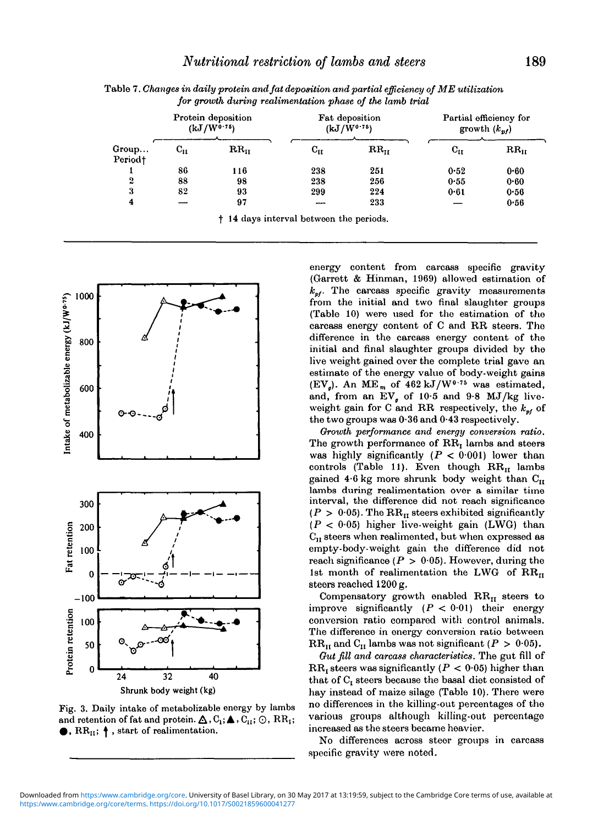|                              |                   | Protein deposition<br>$(kJ/W^{0.75})$ |          | <b>Fat deposition</b><br>$(kJ/W^{0.75})$ | Partial efficiency for<br>growth $(k_{n})$ |               |  |
|------------------------------|-------------------|---------------------------------------|----------|------------------------------------------|--------------------------------------------|---------------|--|
| Group<br>Period <sup>+</sup> | $\mathbf{C_{II}}$ | $\rm RR_{II}$                         | $C_{II}$ | $\rm RR_{II}$                            | $\mathbf{C_{II}}$                          | $\rm RR_{II}$ |  |
|                              | 86                | 116                                   | 238      | 251                                      | 0.52                                       | 0.60          |  |
| $\boldsymbol{2}$             | 88                | 98                                    | 238      | 256                                      | 0.55                                       | 0.60          |  |
| 3                            | 82                | 93                                    | 299      | 224                                      | 0.61                                       | 0.56          |  |
| 4                            |                   | 97                                    | $- - -$  | 233                                      |                                            | 0.56          |  |

Table 7. *Changes in daily protein and fat deposition and partial efficiency of ME utilization for growth during realimentation phase of the lamb trial*

14 days interval between the periods.



Fig. 3. Daily intake of metabolizable energy by lambs and retention of fat and protein.  $\Delta$ ,  $C_1$ ;  $\Delta$ ,  $C_{11}$ ;  $\odot$ ,  $RR_1$ ;  $\bullet$ , RR<sub>II</sub>;  $\diamond$ , start of realimentation.

energy content from carcass specific gravity (Garrett & Hinman, 1969) allowed estimation of  $k_{\text{pf}}$ . The carcass specific gravity measurements from the initial and two final slaughter groups (Table 10) were used for the estimation of the carcass energy content of C and RR steers. Tho difference in the carcass energy content of the initial and final slaughter groups divided by the live weight gained over the complete trial gave an estimate of the energy value of body-weight gains  $(EV<sub>g</sub>)$ . An ME<sub>m</sub> of 462 kJ/W<sup>0.75</sup> was estimated, and, from an  $EV_g$  of 10.5 and 9.8 MJ/kg liveweight gain for C and RR respectively, the  $k_{p}$  of the two groups was 0-36 and 0-43 respectively.

*Growth performance and energy conversion ratio.* The growth performance of  $\text{RR}_{\text{I}}$  lambs and steers was highly significantly  $(P < 0.001)$  lower than controls (Table 11). Even though  $RR_{II}$  lambs gained  $4.6$  kg more shrunk body weight than  $C_{II}$ lambs during realimentation over a similar time interval, the difference did not reach significance  $(P > 0.05)$ . The RR<sub>II</sub> steers exhibited significantly  $(P < 0.05)$  higher live-weight gain (LWG) than  $C_{II}$  steers when realimented, but when expressed as empty-body-weight gain the difference did not reach significance  $(P > 0.05)$ . However, during the 1st month of realimentation the LWG of  $\text{RR}_{\text{II}}$ steers reached 1200 g.

Compensatory growth enabled  $\text{RR}_{\text{II}}$  steers to improve significantly  $(P < 0.01)$  their energy conversion ratio compared with control animals. The difference in energy conversion ratio between  $\text{RR}_{\text{II}}$  and  $\text{C}_{\text{II}}$  lambs was not significant ( $P > 0.05$ ).

*Out fill and carcass characteristics.* The gut fill of  $RR_{r}$  steers was significantly ( $P < 0.05$ ) higher than that of  $C_t$  steers because the basal diet consisted of hay instead of maize silage (Table 10). There were no differences in the killing-out percentages of the various groups although killing-out percentage increased as the steers became heavier.

No differences across steer groups in carcass specific gravity were noted.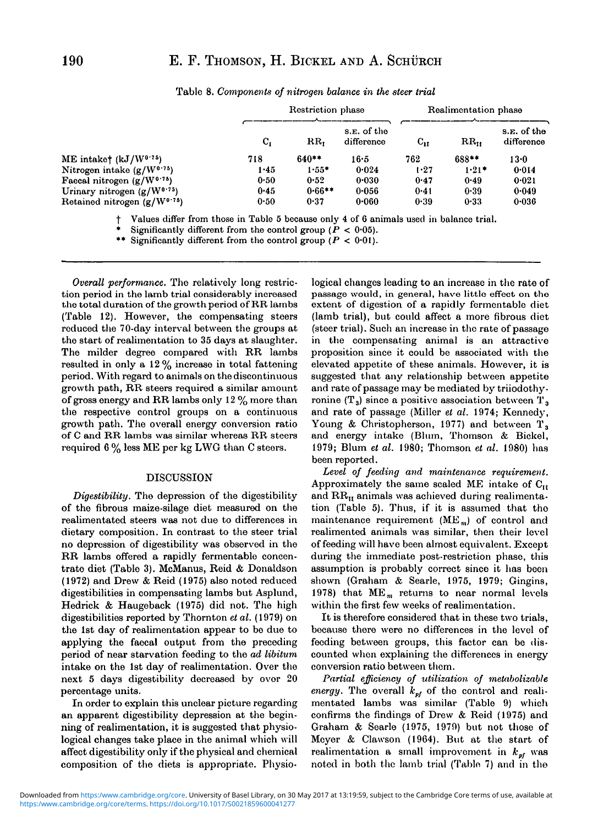|                                  |                | Realimentation phase |                           |          |               |                           |
|----------------------------------|----------------|----------------------|---------------------------|----------|---------------|---------------------------|
|                                  | $\mathbf{C}_1$ | RR.                  | S.E. of the<br>difference | $C_{11}$ | $RR_{\rm{H}}$ | S.E. of the<br>difference |
| ME intaket $(kJ/W^{0.75})$       | 718            | 640**                | 16.5                      | 762      | 688**         | $13 - 0$                  |
| Nitrogen intake $(g/W^{0.75})$   | 1.45           | $1.55*$              | 0.024                     | 1.27     | $1.21*$       | 0.014                     |
| Faecal nitrogen $(g/W^{0.75})$   | 0.50           | 0.52                 | 0.030                     | 0.47     | 0.49          | 0.021                     |
| Urinary nitrogen $(g/W^{0.75})$  | 0.45           | $0.66**$             | 0.056                     | 0.41     | 0.39          | 0.049                     |
| Retained nitrogen $(g/W^{0.75})$ | 0.50           | 0.37                 | 0.060                     | 0.39     | 0.33          | $0 - 036$                 |

Table 8. *Components of nitrogen balance in the steer trial*

f Values differ from those in Table 5 because only 4 of 6 animals used in balance trial.

Significantly different from the control group  $(P < 0.05)$ .

Significantly different from the control group  $(P < 0.01)$ .

*Overall performance.* The relatively long restriction period in the lamb trial considerably increased the total duration of the growth period of RR lambs (Table 12). However, the compensating steers reduced the 70-day interval between the groups at the start of realimentation to 35 days at slaughter. The milder degree compared with RR lambs resulted in only a 12 % increase in total fattening period. With regard to animals on the discontinuous growth path, RR steers required a similar amount of gross energy and RR lambs only  $12\%$  more than the respective control groups on a continuous growth path. The overall energy conversion ratio of C and RR lambs was similar whereas RR steers required 6 % less ME per kg LWG than C steers.

#### DISCUSSION

*Digestibility.* The depression of the digestibility of the fibrous maize-silage diet measured on the realimentated steers was not due to differences in dietary composition. In contrast to the steer trial no depression of digestibility was observed in the RR lambs offered a rapidly fermentable concentrate diet (Table 3). McManus, Reid & Donaldson (1972) and Drew & Reid (1975) also noted reduced digestibilities in compensating lambs but Asplund, Hedrick & Haugeback (1975) did not. The high digestibilities reported by Thornton *et ah* (1979) on the 1st day of realimentation appear to be due to applying the faecal output from the preceding period of near starvation feeding to the *ad libitum* intake on the 1st day of realimentation. Over the next 5 days digestibility decreased by over 20 percentage units.

In order to explain this unclear picture regarding an apparent digestibility depression at the beginning of realimentation, it is suggested that physiological changes take place in the animal which will affect digestibility only if the physical and chemical composition of the diets is appropriate. Physiological changes leading to an increase in the rate of passage would, in general, have little effect on the extent of digestion of a rapidly fermentable diet (lamb trial), but could affect a more fibrous diet (steer trial). Such an increase in the rate of passage in the compensating animal is an attractive proposition since it could be associated with the elevated appetite of these animals. However, it is suggested that any relationship between appetite and rate of passage may be mediated by triiodothyronine  $(T<sub>3</sub>)$  since a positive association between  $T<sub>3</sub>$ and rate of passage (Miller *et ah* 1974; Kennedy, Young & Christopherson, 1977) and between  $T_3$ and energy intake (Blum, Thomson & Bickel, 1979; Blum *et ah* 1980; Thomson *et ah* 1980) has been reported.

*Level of feeding and maintenance requirement.* Approximately the same scaled ME intake of  $C_{II}$ and  $\rm RR_{II}$  animals was achieved during realimentation (Table 5). Thus, if it is assumed that the maintenance requirement  $(ME_m)$  of control and realimented animals was similar, then their level of feeding will have been almost equivalent. Except during the immediate post-restriction phase, this assumption is probably correct since it has been shown (Graham & Searle, 1975, 1979; Gingins, 1978) that  $ME_m$  returns to near normal levels within the first few weeks of realimentation.

It is therefore considered that in these two trials, because there were no differences in the level of feeding between groups, this factor can be discounted whon explaining the differences in energy conversion ratio between them.

*Partial efficiency of utilization of metabolizable energy.* The overall  $k_{pf}$  of the control and realimentated lambs was similar (Table 9) which confirms the findings of Drew & Reid (1975) and Graham & Searle (1975, 1979) but not those of Meyer & Clawson (1964). But at the start of realimentation a small improvement in  $k_{\textit{pf}}$  was noted in both the lamb trial (Table 7) and in the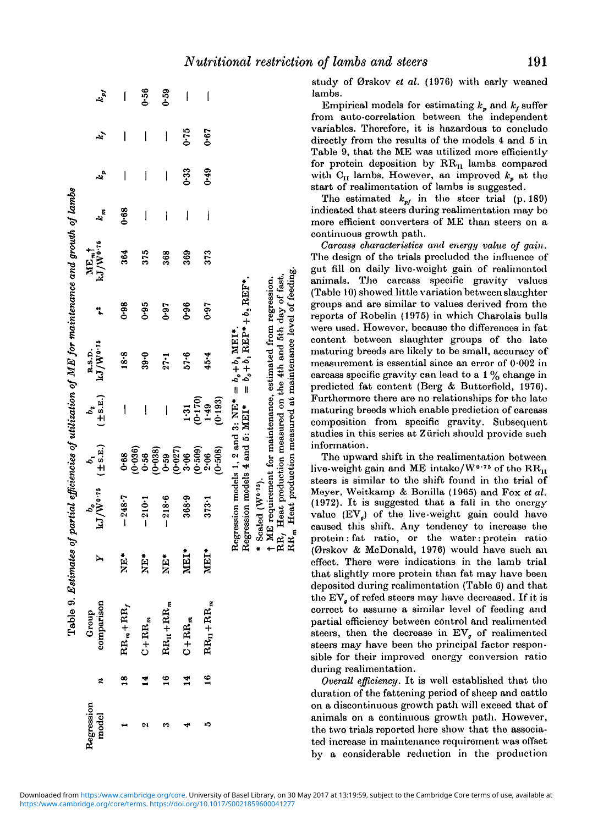|                                                                                            | $\tilde{r}_j$                                                    | I                        | $0 - 56$       | 0.59                                         | f           | ĺ                                    |                                                                                                                                                                                                         | study of Ør<br>lambs.<br>Empirical                                                                 |
|--------------------------------------------------------------------------------------------|------------------------------------------------------------------|--------------------------|----------------|----------------------------------------------|-------------|--------------------------------------|---------------------------------------------------------------------------------------------------------------------------------------------------------------------------------------------------------|----------------------------------------------------------------------------------------------------|
|                                                                                            | Ŀ,                                                               | I                        | l              | $\mathbf{I}$                                 | $0 - 75$    | 0.67                                 |                                                                                                                                                                                                         | from auto-c<br>variables. T<br>directly from                                                       |
|                                                                                            | ۸,                                                               | $\overline{\phantom{a}}$ | I              | $\bigg $                                     | 0.33        | 0.49                                 |                                                                                                                                                                                                         | Table 9, tha<br>for protein<br>with $C_{II}$ lan<br>start of real                                  |
|                                                                                            | $\epsilon_n$                                                     | $0 - 68$                 | I              | 1                                            | I           | ł                                    |                                                                                                                                                                                                         | The estin<br>indicated th<br>more efficier                                                         |
|                                                                                            | $\frac{\text{ME}_{\text{m}}\uparrow}{\text{kJ/W}^{\text{0-76}}}$ | 364                      | 375            | 368                                          | 369         | 373                                  |                                                                                                                                                                                                         | continuous g<br>Carcass cl<br>The design o<br>gut fill on<br>T<br>animals.                         |
|                                                                                            |                                                                  | 0.98                     | 0.95           | <b>C6-0</b>                                  | 0.96        | $0.0 - 0.0$                          |                                                                                                                                                                                                         | (Table 10) sh<br>groups and<br>reports of R<br>were used. I                                        |
|                                                                                            | R.S.D.<br>kJ/W0.76                                               | 18.8                     | 39.0           | $27 - 1$                                     | 57.6        | $45 - 4$                             | Heat production measured at maintenance level of feeding.<br>Heat production measured on the 4th and 5th day of fast.<br>$= b_o + b_1 \text{ MET}^*.$<br>$= b_o + b_1 \text{ REP}^* + b_2 \text{ REP}.$ | content bet<br>maturing br<br>measuremen<br>carcass speci                                          |
|                                                                                            | $\pm$ S.E.)                                                      | I                        | l              | $\overline{\phantom{a}}$                     |             | $1.31$<br>(0.170)<br>1.49<br>(0.193) |                                                                                                                                                                                                         | predicted fa<br>Furthermore<br>maturing bro<br>composition<br>studies in th                        |
|                                                                                            | $b_1$<br>( $\pm$ s.g.)                                           |                          |                |                                              |             | (0.508)                              |                                                                                                                                                                                                         | information.<br>The upwa<br>live-weight g<br>steers is sim                                         |
| Estimates of partial efficiencies of utilization of ME for maintenance and growth of lambs | $h_{\rm d}$ / $h_{\rm o}$                                        | 248-7<br>ı               | 210-1          | 218-6                                        | 368.9       | $373 - 1$                            | t ME requirement for maintenance, estimated from regression.<br>Regression models 1, 2 and 3: NE*<br>Regression models 4 and 5: MEI <sup>*</sup><br>Scaled (W <sup>o.75</sup> ).                        | Meyer, Weit<br>$(1972)$ . It is<br>value $(EV_g)$<br>caused this                                   |
|                                                                                            | ↣                                                                | NE <sup>+</sup>          | i<br>NE        | NE*                                          | MEI*        | MEI*                                 | $RR_m$<br>$RR_f$ ]                                                                                                                                                                                      | protein: fat<br>(Ørskov & I<br>effect. There<br>that slightly<br>deposited du                      |
| Table 9.                                                                                   | comparison<br>Group                                              | $RR_m+RR_f$              | $C + R$ R $_m$ | $\text{RR}_{\text{II}}+\text{RR}_{\text{m}}$ | $C + R R_m$ | $\text{RR}_{11}+\text{RR}_{m}$       |                                                                                                                                                                                                         | the $EVg$ of re<br>correct to a<br>partial effici<br>steers, then<br>steers may l<br>sible for the |
|                                                                                            | z                                                                | $\frac{8}{1}$            | $\overline{1}$ | $\overline{16}$                              | 14          | $\overline{16}$                      |                                                                                                                                                                                                         | during realin<br>Overall eff                                                                       |
|                                                                                            | Regression<br>model                                              |                          | ¢1             |                                              |             | ıŋ,                                  |                                                                                                                                                                                                         | duration of t<br>on a discont<br>animals on<br>the two trial<br>ted increase                       |

study of Ørskov et al. (1976) with early weaned lambs.

Empirical models for estimating  $k_p$  and  $k_f$  suffer from auto-correlation between the independent variables. Therefore, it is hazardous to conclude directly from the results of the models 4 and 5 in Table 9, that the ME was utilized more efficiently for protein deposition by  $RR_{II}$  lambs compared with  $C_{II}$  lambs. However, an improved  $k_p$  at the start of realimentation of lambs is suggested.

The estimated  $k_{pf}$  in the steer trial  $(p. 189)$ indicated that steers during realimentation may be more efficient converters of ME than steers on a continuous growth path.

 $\emph{Carcass characteristics and energy value of gain.}$ The design of the trials precluded the influence of<br>
gut fill on daily live-weight gain of realimented<br>
animals. The careas specific gravity values<br>
(Table 10) showed little variation between slaughter<br>
groups and are sim animals. The carcass specific gravity values (Table 10) showed little variation between slaughter groups and are similar to values derived from the reports of Robelin (1975) in which Charolais bulls were used. However, because the differences in fat content between slaughter groups of the late  $m$  maturing breeds are likely to be small, accuracy of measurement is essential since an error of  $0.002$  in carcass specific gravity can lead to a  $1\%$  change in predicted fat content (Berg & Butterfield, 1976). "S\* II II I x g predicted fat content (Berg & Butterfield, 1976).  $\begin{array}{ccccc} 5 & 7 & 6 \\ 2 & 8 & 1 \end{array}$   $\begin{array}{ccccc} 2 & 3 & 4 \\ 3 & 1 & 1 \end{array}$   $\begin{array}{ccccc} 2 & 3 & 4 \\ 7 & 7 & 6 \end{array}$   $\begin{array}{ccccc} 2 & 3 & 4 \\ 2 & 5 & 7 \\ 3 & 1 & 1 \end{array}$   $\begin{array}{ccccc} 2 & 3 & 4 \\ 1 & 1 & 1 \end{array}$  $\frac{1}{3}$   $\frac{1}{4}$   $\frac{1}{1}$   $\frac{1}{2}$   $\frac{1}{2}$   $\frac{1}{2}$   $\frac{1}{2}$   $\frac{1}{2}$   $\frac{1}{2}$   $\frac{1}{2}$   $\frac{1}{2}$   $\frac{1}{2}$   $\frac{1}{2}$   $\frac{1}{2}$   $\frac{1}{2}$   $\frac{1}{2}$   $\frac{1}{2}$   $\frac{1}{2}$   $\frac{1}{2}$   $\frac{1}{2}$   $\frac{1}{2}$   $\frac{1}{2}$   $\mathbb{Z}$   $\mathbb{Z}$   $\mathbb{Z}$   $\mathbb{Z}$   $\mathbb{Z}$  s composition from specific gravity. Subsequently. studies in this series at Zürich should provide such information.

The upward shift in the realimentation between  $\frac{3}{2}$   $\frac{1}{2}$   $\frac{2}{3}$  live-weight gain and ME intake/W075 of the RR<sub>U</sub> steers is similar to the shift found in the trial of Meyer, Weitkamp & Bonilla (1965) and Fox *et al*.  $(1972)$ . It is suggested that a fall in the energy value  $(EV<sub>g</sub>)$  of the live-weight gain could have caused this shift. Any tendency to increase the<br> $\hat{\vec{r}}$  protein: fat ratio, or the water: protein ratio<br> $\hat{\vec{r}}$  (*Grskov & McDonald 1976*) would have such an protein: fat ratio, or the water: protein ratio *(Ørskov & McDonald, 1976)* would have such an  $\frac{3}{2}$  ,  $\frac{1}{6}$  ,  $\frac{1}{6}$  ,  $\frac{1}{6}$  ,  $\frac{1}{10}$  ,  $\frac{1}{10}$  ,  $\frac{1}{100}$  would have such an  $\frac{1}{100}$  would have such an  $\frac{1}{100}$  would have such an  $\frac{1}{100}$  and  $\frac{1}{100}$  and  $\frac{1}{100}$  and  $\frac{1}{$  $\overline{z}$   $\overline{z}$   $\overline{z}$   $\overline{z}$   $\overline{z}$   $\overline{z}$   $\overline{z}$   $\overline{z}$   $\overline{z}$   $\overline{z}$   $\overline{z}$   $\overline{z}$   $\overline{z}$   $\overline{z}$   $\overline{z}$   $\overline{z}$   $\overline{z}$   $\overline{z}$   $\overline{z}$   $\overline{z}$   $\overline{z}$   $\overline{z}$   $\overline{z}$   $\overline{z}$   $\overline{$ that slightly more protein than fat may have been deposited during realimentation (Table 6) and that the  $EV<sub>a</sub>$  of refed steers may have decreased. If it is correct to assume a similar level of feeding and partial efficiency between control and realimented steers, then the decrease in  $EV_{q}$  of realimented steers may have been the principal factor responsible for their improved energy conversion ratio during realimentation.

> *Overall efficiency.* It is well established that tho duration of the fattening period of sheep and cattlo on a discontinuous growth path will exceed that of animals on a continuous growth path. However, the two trials reported here show that the associated increase in maintenance requirement was offset by a considerable reduction in the production

<https:/www.cambridge.org/core/terms>. <https://doi.org/10.1017/S0021859600041277> Downloaded from <https:/www.cambridge.org/core>. University of Basel Library, on 30 May 2017 at 13:19:59, subject to the Cambridge Core terms of use, available at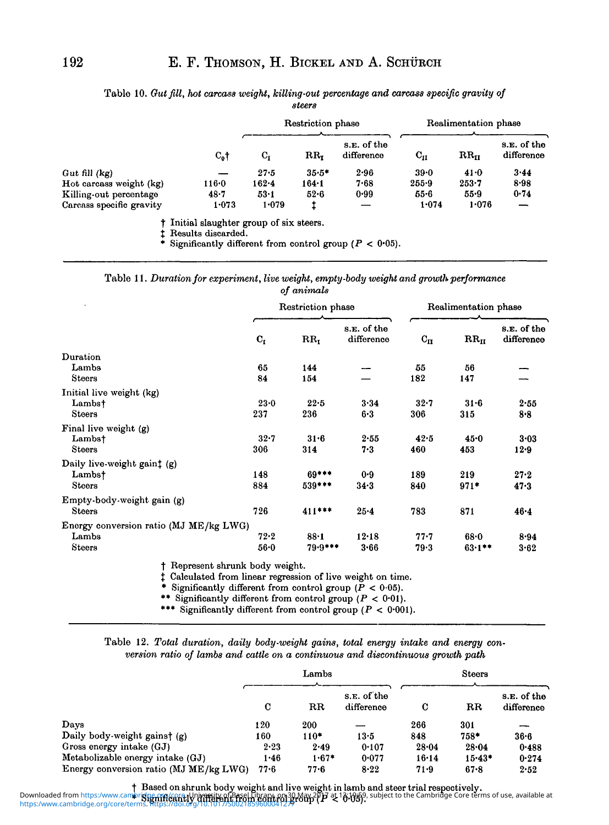|                          |           |         | Restriction phase |                           | Realimentation phase |               |                           |
|--------------------------|-----------|---------|-------------------|---------------------------|----------------------|---------------|---------------------------|
|                          | $C_0$ †   | $C_{I}$ | $\rm RR_r$        | S.E. of the<br>difference | $C_{II}$             | $\rm RR_{II}$ | S.E. of the<br>difference |
| Gut fill $(kg)$          |           | 27.5    | $35.5*$           | 2.96                      | $39 - 0$             | 41.0          | 3.44                      |
| Hot carcass weight (kg)  | $116 - 0$ | 162.4   | 164.1             | 7.68                      | 255.9                | $253 - 7$     | 8.98                      |
| Killing-out percentage   | 48.7      | 53.1    | 52.6              | 0.99                      | 55-6                 | $55 - 9$      | 0.74                      |
| Carcass specific gravity | $1 - 073$ | 1.079   |                   |                           | 1.074                | 1.076         |                           |

Table 10. *Out fill, hot carcass weight, killing-out percentage and carcass specific gravity of steers*

Initial slaughter group of six steers. Results discarded.

ŧ

Significantly different from control group *(P <* 0-05).

| Table 11. Duration for experiment, live weight, empty-body weight and growth performance |            |  |
|------------------------------------------------------------------------------------------|------------|--|
|                                                                                          | of animals |  |

|                                        |          | Restriction phase |                           |          | Realimentation phase |                           |  |
|----------------------------------------|----------|-------------------|---------------------------|----------|----------------------|---------------------------|--|
|                                        | $C_{I}$  | $\rm RR_{I}$      | S.E. of the<br>difference | $C_{II}$ | $RR_{II}$            | S.E. of the<br>difference |  |
| Duration                               |          |                   |                           |          |                      |                           |  |
| Lambs                                  | 65       | 144               |                           | 55       | 56                   |                           |  |
| <b>Steers</b>                          | 84       | 154               |                           | 182      | 147                  |                           |  |
| Initial live weight (kg)               |          |                   |                           |          |                      |                           |  |
| Lambst                                 | $23 - 0$ | $22 - 5$          | 3.34                      | 32.7     | $31-6$               | 2.55                      |  |
| Steers                                 | 237      | 236               | $6 - 3$                   | 306      | 315                  | 8.8                       |  |
| Final live weight (g)                  |          |                   |                           |          |                      |                           |  |
| Lambst                                 | 32.7     | 31.6              | 2.55                      | 42.5     | 45.0                 | 3.03                      |  |
| <b>Steers</b>                          | 306      | 314               | 7.3                       | 460      | 453                  | 12.9                      |  |
| Daily live-weight gaint (g)            |          |                   |                           |          |                      |                           |  |
| Lambs†                                 | 148      | 69***             | 0.9                       | 189      | 219                  | $27 - 2$                  |  |
| <b>Steers</b>                          | 884      | 539***            | 34.3                      | 840      | $971*$               | 47.3                      |  |
| Empty-body-weight gain (g)             |          |                   |                           |          |                      |                           |  |
| <b>Steers</b>                          | 726      | 411 ***           | $25 - 4$                  | 783      | 871                  | 46.4                      |  |
| Energy conversion ratio (MJ ME/kg LWG) |          |                   |                           |          |                      |                           |  |
| Lambs                                  | 72.2     | 88.1              | 12.18                     | $77 - 7$ | 68.0                 | 8.94                      |  |
| Steers                                 | $56 - 0$ | $79.9***$         | $3 - 66$                  | 79.3     | $63.1***$            | 3.62                      |  |

t Represent shrunk body weight.

 $\ddagger$  Calculated from linear regression of live weight on time.

\* Significantly different from control group *(P <* 0-05).

\*\* Significantly different from control group *(P <* 0-01).

\*\*\* Significantly different from control group  $(P < 0.001)$ .

| Table 12. Total duration, daily body-weight gains, total energy intake and energy con- |  |  |
|----------------------------------------------------------------------------------------|--|--|
| version ratio of lambs and cattle on a continuous and discontinuous growth path        |  |  |

|                                        | Lambs |             |                           | Steers |             |                           |
|----------------------------------------|-------|-------------|---------------------------|--------|-------------|---------------------------|
|                                        | С     | $_{\rm RR}$ | S.E. of the<br>difference | C      | $_{\rm RR}$ | S.E. of the<br>difference |
| Days                                   | 120   | 200         |                           | 266    | 301         |                           |
| Daily body-weight gainst $(g)$         | 160   | 110*        | 13.5                      | 848    | 758*        | 36.6                      |
| Gross energy intake (GJ)               | 2.23  | 2.49        | 0.107                     | 28.04  | 28.04       | 0.488                     |
| Metabolizable energy intake (GJ)       | 1.46  | $1.67*$     | 0.077                     | 16.14  | $15 - 43$   | 0.274                     |
| Energy conversion ratio (MJ ME/kg LWG) | 77.6  | 77.6        | $8 - 22$                  | 71.9   | 67.8        | 2.52                      |

t Based on shrunk body weight and live weight in lamb and steer trial respectively.

Downloaded from https:/www.cambri**s**geomerk.org/th**/wartsipsof.Pased.hibzapt.egg**]? @10:0559, subject to the Cambridge Core terms of use, available at<br><https:/www.cambridge.org/core/terms>. https://doi.org/10.1017/S00218596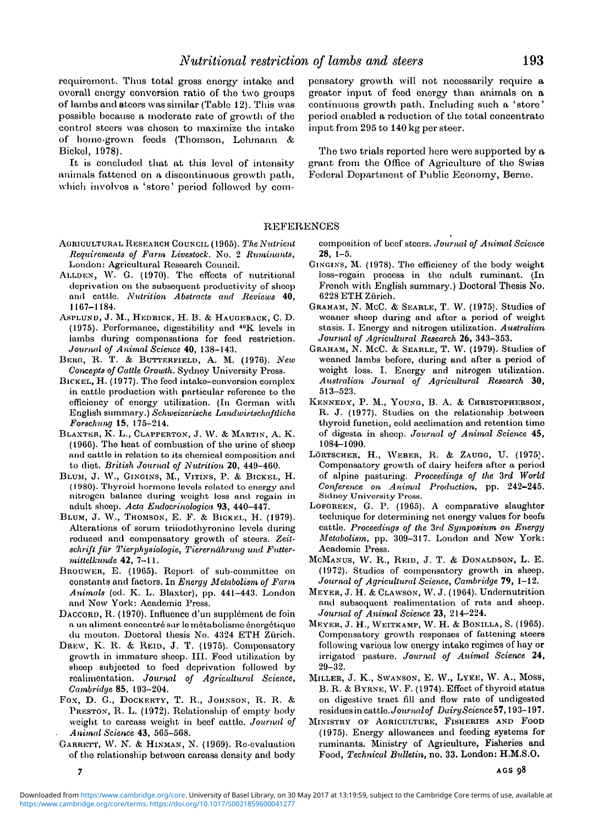requirement. Thus total gross energy intake and ovorall onorgy conversion ratio of the two groups of lambs and steers was similar (Table 12). This was possible because a moderate rate of growth of the control steers was chosen to maximize the intake of home-grown feeds (Thomson, Lohmann & Bickol, 1978).

It is concluded that at this level of intensity animals fattened on a discontinuous growth path, which involvos a 'store' period followed by compensatory growth will not necessarily require a greater input of feed energy than animals on a continuous growth path. Including such a 'store' period enabled a reduction of the total concentrato input from 295 to 140 kg per steer.

The two trials reported here were supported by a grant from the Office of Agriculture of the Swiss Federal Department of Public Economy, Berne.

#### REFERENCES

- AGRICULTURAL RESEARCH COUNCIL (1965). The Nutrient *Requirements of Farm Livestock.* No. 2 *Ruminants,* London: Agricultural Research Council.
- ALLDEN, W. G. (1970). The effects of nutritional deprivation on the subsequent productivity of sheep and cattle. *Nutrition Abstracts and Reviews* 40, 1167-1184.
- ASPLUND, J. M., HEDRICK, H. B. & HAUGEBACK, C. D. (1975). Performance, digestibility and 40K levels in lambs during compensations for feed restriction. *Journal of Animal Science* 40, 138-143.
- BERG, R. T. & BUTTERFIELD, A. M. (1976). New *Concepts of Cattle Growth.* Sydney University Press.
- BICKEL, H. (1977). Tho feed intake-conversion complex in cattle production with particular reference to the efficiency of energy utilization. (In German witli English summary.) *Schweizerische Landwirtschaftliche Forschung* 15, 175-214.
- BLAXTER, K. L., CLAPPERTON, J. W. & MARTIN, A. K. (1966). The heat of combustion of the urine of sheep and cattle in relation to its chemical composition and to diet. *British Journal of Nutrition* 20, 449-460.
- BLUM, J. W., GINGINS, M., VITINS, P. & BICKEL, H. (19S0). Thyroid hormone levels related to energy and nitrogen balance during weight loss and regain in adult sheep. *Ada Endocrinologica* 93, 440-447.
- BLUM, J. W., THOMSON, E. F. & BICKEL, H. (1979). Alterations of serum triiodothyronine levels during roduced and compensatory growth of steers. *Zeitschrift fur Tierphysiologie, Tiererndhrung und Futtermillelkunde* 42, 7-11.
- BROUWER, E. (1965). Report of sub-committee on constants and factors. In *Energy Metabolism of Farm Animals* (ed. K. L. Blaxter), pp. 441-443. London and Now York: Academio Press.
- DACCORD, R. (1970). Influence d'un supplément de foin a un aliment concentré sar le métabolisme énergétique du mouton. Doctoral thesis No. 4324 ETH Zurich.
- DREW, K. R. & REID, J. T. (1975). Compensatory growth in immature sheep. III. Feed utilization by sheep subjected to foed deprivation followed by rcalimontation. *Journal of Agricultural Science, Cambridge* 85, 193-204.
- Fox, D. G., DOCKERTY, T. R., JOHNSON, R. R. & PRESTON, R. L. (1972). Relationship of empty body weight to carcass weight in beef cattle. *Journal of Animal Science* 43, 565-568.
- GARRETT, W. N. & HINMAN, N. (1969). Re-evaluation of the relationship betwoen carcass density and body

7

composition of beef steers. *Journal of Animal Science* 28, 1-5.

- GINGINS, M. (1978). The efficiency of the body weight loss-regain process in the adult ruminant. (In French with English summary.) Doctoral Thesis No. 6228 ETH Zürich.
- GRAHAM, N. MCC. & SEARLE, T. W. (1975). Studies of weaner sheep during and after a period of weight stasis. I. Energy and nitrogen utilization. *Australian Journal of Agricultural Research* 26, 343-353.
- GRAHAM, N. MCC. & SEARLE, T. W. (1979). Studies of weaned lambs before, during and after a period of weight loss. I. Energy and nitrogen utilization. *Australian Journal of Agricultural Research* 30, 513-523.
- KENNEDY, P. M., YOUNG, B. A. & CHRISTOPHERSON, R. J. (1977). Studies on the relationship between thyroid function, cold acclimation and retention time of digesta in sheep. *Journal of Animal Science* 45, 1084-1090.
- LÖRTSCHER, H., WEBER, R. & ZAUGG, U. (1975). Compensatory growth of dairy heifers after a period of alpine pasturing. *Proceedings of the* 3rd *World Conference on Animal Production,* pp. 242—245. Sidney University Press.
- LOFGREEN, G. P. (1965). A comparative slaughter technique for determining net energy values for beefs cattle. *Proceedings of the 3rd Symposium on Energy Metabolism,* pp. 309-317. London and New York: Academic Press.
- MCMANUS, W. R., REID, J. T. & DONALDSON, L. E. (1972). Studios of compensatory growth in sheep. *Journal of Agricultural Science, Cambridge* 79, 1-12.
- MEYER, J. H. & CLAWSON, W. J. (1964). Undornutrition and subsequent realimentation of rats and sheep. *Journal of Animal Science* 23, 214-224.
- MEYER, J. H., WEITKAMP, W. H. & BONILLA, S. (1965). Compensatory growth responses of fattening steers following various low energy intake regimes of hay or irrigated pasture. *Journal of Animal Science* 24, 29-32.
- MILLER, J. K., SWANSON, E. W., LYKE, W. A., Moss, B. R. & BYRNE, W. F. (1974). Effect of thyroid status on digestive tract fill and flow rate of undigested residues in cattle. *Journalof Dairy Science* 57,193-197.
- MINISTRY OF AGRICULTURE, FISHERIES AND FOOD (1975). Energy allowances and feeding systems for ruminants. Ministry of Agriculture, Fisheries and Food, *Technical Bulletin,* no. 33. London: H.M.S.O.